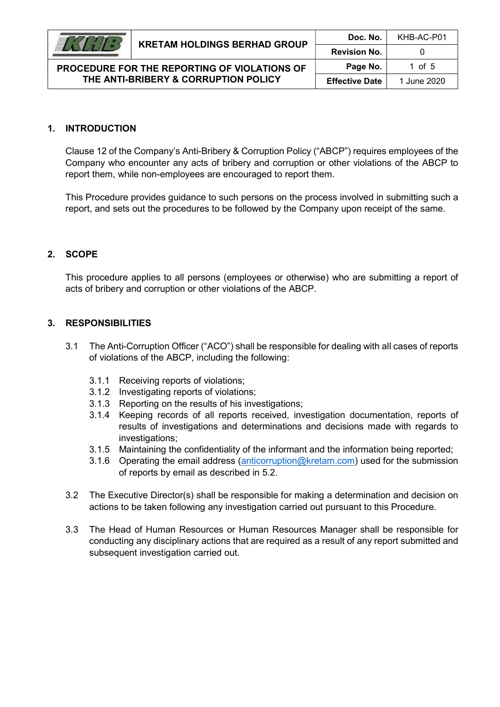### 1. INTRODUCTION

Clause 12 of the Company's Anti-Bribery & Corruption Policy ("ABCP") requires employees of the Company who encounter any acts of bribery and corruption or other violations of the ABCP to report them, while non-employees are encouraged to report them.

This Procedure provides guidance to such persons on the process involved in submitting such a report, and sets out the procedures to be followed by the Company upon receipt of the same.

#### 2. SCOPE

This procedure applies to all persons (employees or otherwise) who are submitting a report of acts of bribery and corruption or other violations of the ABCP.

#### 3. RESPONSIBILITIES

- 3.1 The Anti-Corruption Officer ("ACO") shall be responsible for dealing with all cases of reports of violations of the ABCP, including the following:
	- 3.1.1 Receiving reports of violations;
	- 3.1.2 Investigating reports of violations;
	- 3.1.3 Reporting on the results of his investigations;
	- 3.1.4 Keeping records of all reports received, investigation documentation, reports of results of investigations and determinations and decisions made with regards to investigations;
	- 3.1.5 Maintaining the confidentiality of the informant and the information being reported;
	- 3.1.6 Operating the email address (anticorruption@kretam.com) used for the submission of reports by email as described in 5.2.
- 3.2 The Executive Director(s) shall be responsible for making a determination and decision on actions to be taken following any investigation carried out pursuant to this Procedure.
- 3.3 The Head of Human Resources or Human Resources Manager shall be responsible for conducting any disciplinary actions that are required as a result of any report submitted and subsequent investigation carried out.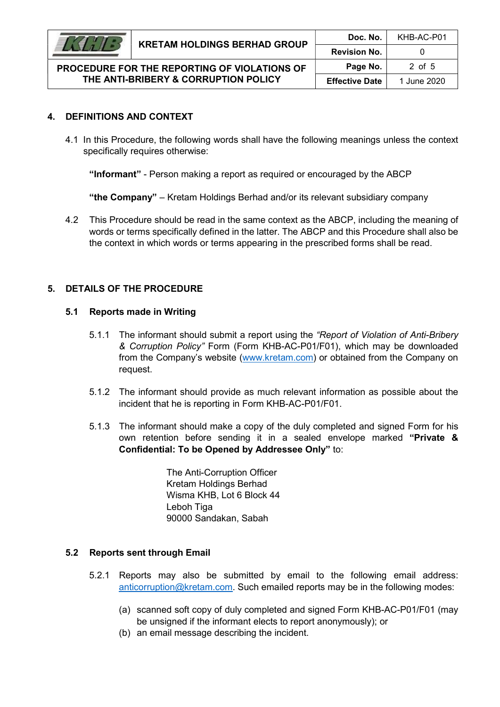

# 4. DEFINITIONS AND CONTEXT

4.1 In this Procedure, the following words shall have the following meanings unless the context specifically requires otherwise:

"Informant" - Person making a report as required or encouraged by the ABCP

"the Company" – Kretam Holdings Berhad and/or its relevant subsidiary company

4.2 This Procedure should be read in the same context as the ABCP, including the meaning of words or terms specifically defined in the latter. The ABCP and this Procedure shall also be the context in which words or terms appearing in the prescribed forms shall be read.

# 5. DETAILS OF THE PROCEDURE

#### 5.1 Reports made in Writing

- 5.1.1 The informant should submit a report using the "Report of Violation of Anti-Bribery & Corruption Policy" Form (Form KHB-AC-P01/F01), which may be downloaded from the Company's website (www.kretam.com) or obtained from the Company on request.
- 5.1.2 The informant should provide as much relevant information as possible about the incident that he is reporting in Form KHB-AC-P01/F01.
- 5.1.3 The informant should make a copy of the duly completed and signed Form for his own retention before sending it in a sealed envelope marked "Private & Confidential: To be Opened by Addressee Only" to:

The Anti-Corruption Officer Kretam Holdings Berhad Wisma KHB, Lot 6 Block 44 Leboh Tiga 90000 Sandakan, Sabah

### 5.2 Reports sent through Email

- 5.2.1 Reports may also be submitted by email to the following email address: anticorruption@kretam.com. Such emailed reports may be in the following modes:
	- (a) scanned soft copy of duly completed and signed Form KHB-AC-P01/F01 (may be unsigned if the informant elects to report anonymously); or
	- (b) an email message describing the incident.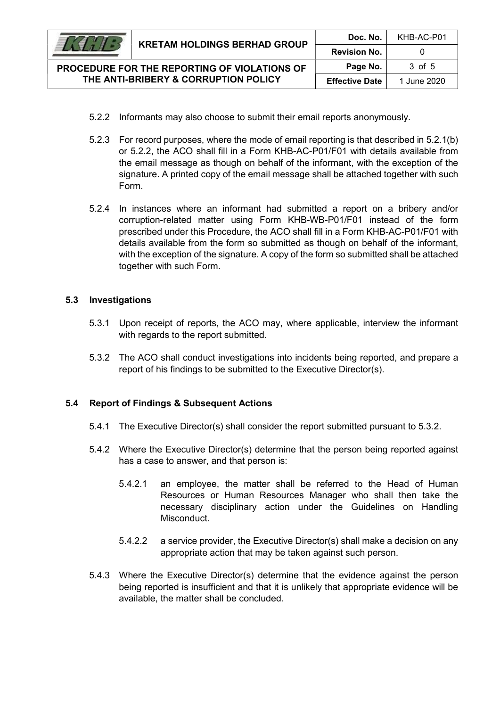

PROCEDURE FOR THE REPORTING OF VIOLATIONS OF THE ANTI-BRIBERY & CORRUPTION POLICY

- 5.2.2 Informants may also choose to submit their email reports anonymously.
- 5.2.3 For record purposes, where the mode of email reporting is that described in 5.2.1(b) or 5.2.2, the ACO shall fill in a Form KHB-AC-P01/F01 with details available from the email message as though on behalf of the informant, with the exception of the signature. A printed copy of the email message shall be attached together with such Form.
- 5.2.4 In instances where an informant had submitted a report on a bribery and/or corruption-related matter using Form KHB-WB-P01/F01 instead of the form prescribed under this Procedure, the ACO shall fill in a Form KHB-AC-P01/F01 with details available from the form so submitted as though on behalf of the informant, with the exception of the signature. A copy of the form so submitted shall be attached together with such Form.

### 5.3 Investigations

- 5.3.1 Upon receipt of reports, the ACO may, where applicable, interview the informant with regards to the report submitted.
- 5.3.2 The ACO shall conduct investigations into incidents being reported, and prepare a report of his findings to be submitted to the Executive Director(s).

### 5.4 Report of Findings & Subsequent Actions

- 5.4.1 The Executive Director(s) shall consider the report submitted pursuant to 5.3.2.
- 5.4.2 Where the Executive Director(s) determine that the person being reported against has a case to answer, and that person is:
	- 5.4.2.1 an employee, the matter shall be referred to the Head of Human Resources or Human Resources Manager who shall then take the necessary disciplinary action under the Guidelines on Handling Misconduct.
	- 5.4.2.2 a service provider, the Executive Director(s) shall make a decision on any appropriate action that may be taken against such person.
- 5.4.3 Where the Executive Director(s) determine that the evidence against the person being reported is insufficient and that it is unlikely that appropriate evidence will be available, the matter shall be concluded.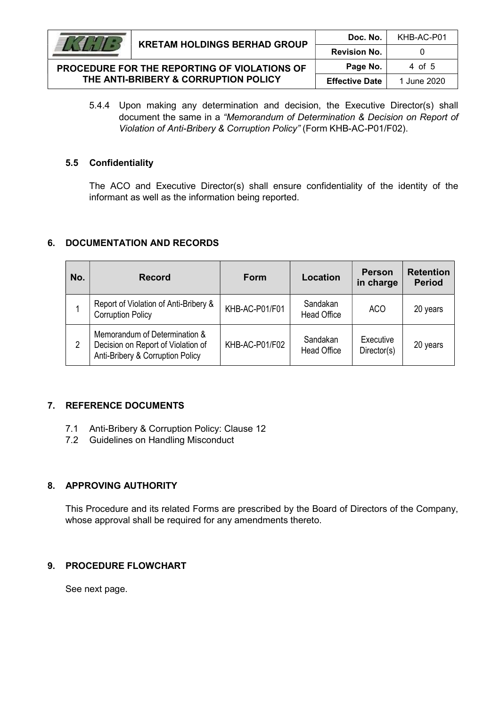

| .                                                                                    | KRETAM HOLDINGS BERHAD GROUP | <b>Revision No.</b>   |             |  |
|--------------------------------------------------------------------------------------|------------------------------|-----------------------|-------------|--|
| PROCEDURE FOR THE REPORTING OF VIOLATIONS OF<br>THE ANTI-BRIBERY & CORRUPTION POLICY |                              | Page No.              | 4 of 5      |  |
|                                                                                      |                              | <b>Effective Date</b> | 1 June 2020 |  |

Doc. No. | KHB-AC-P01

5.4.4 Upon making any determination and decision, the Executive Director(s) shall document the same in a "Memorandum of Determination & Decision on Report of Violation of Anti-Bribery & Corruption Policy" (Form KHB-AC-P01/F02).

#### 5.5 Confidentiality

The ACO and Executive Director(s) shall ensure confidentiality of the identity of the informant as well as the information being reported.

#### 6. DOCUMENTATION AND RECORDS

| No. | <b>Record</b>                                                                                           | <b>Form</b>    | Location                       | <b>Person</b><br>in charge | <b>Retention</b><br><b>Period</b> |
|-----|---------------------------------------------------------------------------------------------------------|----------------|--------------------------------|----------------------------|-----------------------------------|
|     | Report of Violation of Anti-Bribery &<br><b>Corruption Policy</b>                                       | KHB-AC-P01/F01 | Sandakan<br><b>Head Office</b> | ACO                        | 20 years                          |
| 2   | Memorandum of Determination &<br>Decision on Report of Violation of<br>Anti-Bribery & Corruption Policy | KHB-AC-P01/F02 | Sandakan<br><b>Head Office</b> | Executive<br>Director(s)   | 20 years                          |

### 7. REFERENCE DOCUMENTS

- 7.1 Anti-Bribery & Corruption Policy: Clause 12
- 7.2 Guidelines on Handling Misconduct

### 8. APPROVING AUTHORITY

This Procedure and its related Forms are prescribed by the Board of Directors of the Company, whose approval shall be required for any amendments thereto.

### 9. PROCEDURE FLOWCHART

See next page.